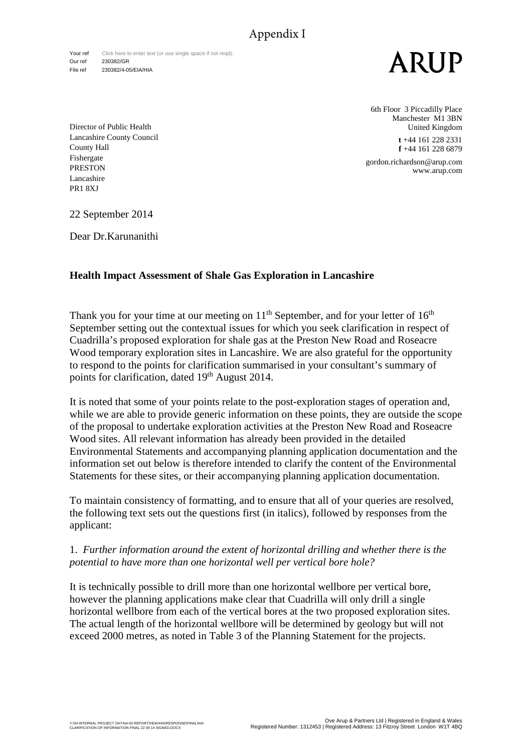Your ref Click here to enter text (or use single space if not reqd) Our ref 230382/GR File ref 230382/4-05/EIA/HIA



6th Floor 3 Piccadilly Place Manchester M1 3BN United Kingdom **t** +44 161 228 2331

**f** +44 161 228 6879

gordon.richardson@arup.com www.arup.com

Lancashire County Council County Hall Fishergate PRESTON Lancashire PR1 8XJ

Director of Public Health

22 September 2014

Dear Dr.Karunanithi

#### **Health Impact Assessment of Shale Gas Exploration in Lancashire**

Thank you for your time at our meeting on  $11<sup>th</sup>$  September, and for your letter of  $16<sup>th</sup>$ September setting out the contextual issues for which you seek clarification in respect of Cuadrilla's proposed exploration for shale gas at the Preston New Road and Roseacre Wood temporary exploration sites in Lancashire. We are also grateful for the opportunity to respond to the points for clarification summarised in your consultant's summary of points for clarification, dated 19<sup>th</sup> August 2014.

It is noted that some of your points relate to the post-exploration stages of operation and, while we are able to provide generic information on these points, they are outside the scope of the proposal to undertake exploration activities at the Preston New Road and Roseacre Wood sites. All relevant information has already been provided in the detailed Environmental Statements and accompanying planning application documentation and the information set out below is therefore intended to clarify the content of the Environmental Statements for these sites, or their accompanying planning application documentation.

To maintain consistency of formatting, and to ensure that all of your queries are resolved, the following text sets out the questions first (in italics), followed by responses from the applicant:

#### 1. *Further information around the extent of horizontal drilling and whether there is the potential to have more than one horizontal well per vertical bore hole?*

It is technically possible to drill more than one horizontal wellbore per vertical bore, however the planning applications make clear that Cuadrilla will only drill a single horizontal wellbore from each of the vertical bores at the two proposed exploration sites. The actual length of the horizontal wellbore will be determined by geology but will not exceed 2000 metres, as noted in Table 3 of the Planning Statement for the projects.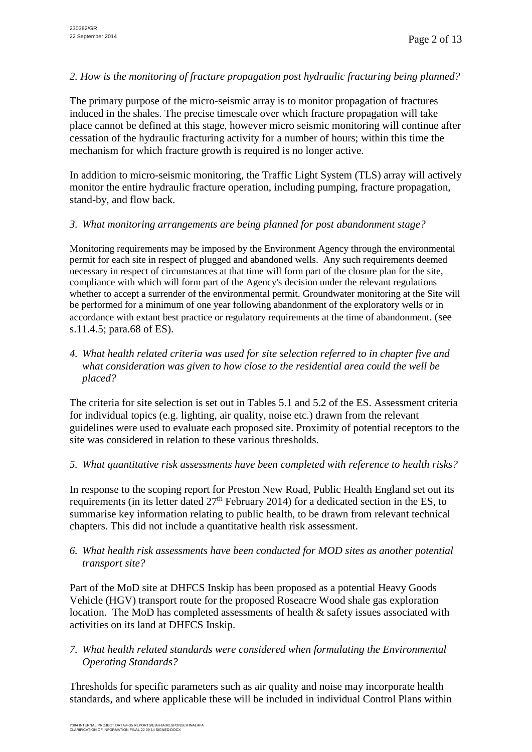## *2. How is the monitoring of fracture propagation post hydraulic fracturing being planned?*

The primary purpose of the micro-seismic array is to monitor propagation of fractures induced in the shales. The precise timescale over which fracture propagation will take place cannot be defined at this stage, however micro seismic monitoring will continue after cessation of the hydraulic fracturing activity for a number of hours; within this time the mechanism for which fracture growth is required is no longer active.

In addition to micro-seismic monitoring, the Traffic Light System (TLS) array will actively monitor the entire hydraulic fracture operation, including pumping, fracture propagation, stand-by, and flow back.

#### *3. What monitoring arrangements are being planned for post abandonment stage?*

Monitoring requirements may be imposed by the Environment Agency through the environmental permit for each site in respect of plugged and abandoned wells. Any such requirements deemed necessary in respect of circumstances at that time will form part of the closure plan for the site, compliance with which will form part of the Agency's decision under the relevant regulations whether to accept a surrender of the environmental permit. Groundwater monitoring at the Site will be performed for a minimum of one year following abandonment of the exploratory wells or in accordance with extant best practice or regulatory requirements at the time of abandonment. (see s.11.4.5; para.68 of ES).

*4. What health related criteria was used for site selection referred to in chapter five and what consideration was given to how close to the residential area could the well be placed?*

The criteria for site selection is set out in Tables 5.1 and 5.2 of the ES. Assessment criteria for individual topics (e.g. lighting, air quality, noise etc.) drawn from the relevant guidelines were used to evaluate each proposed site. Proximity of potential receptors to the site was considered in relation to these various thresholds.

## *5. What quantitative risk assessments have been completed with reference to health risks?*

In response to the scoping report for Preston New Road, Public Health England set out its requirements (in its letter dated 27<sup>th</sup> February 2014) for a dedicated section in the ES, to summarise key information relating to public health, to be drawn from relevant technical chapters. This did not include a quantitative health risk assessment.

*6. What health risk assessments have been conducted for MOD sites as another potential transport site?*

Part of the MoD site at DHFCS Inskip has been proposed as a potential Heavy Goods Vehicle (HGV) transport route for the proposed Roseacre Wood shale gas exploration location. The MoD has completed assessments of health & safety issues associated with activities on its land at DHFCS Inskip.

# *7. What health related standards were considered when formulating the Environmental Operating Standards?*

Thresholds for specific parameters such as air quality and noise may incorporate health standards, and where applicable these will be included in individual Control Plans within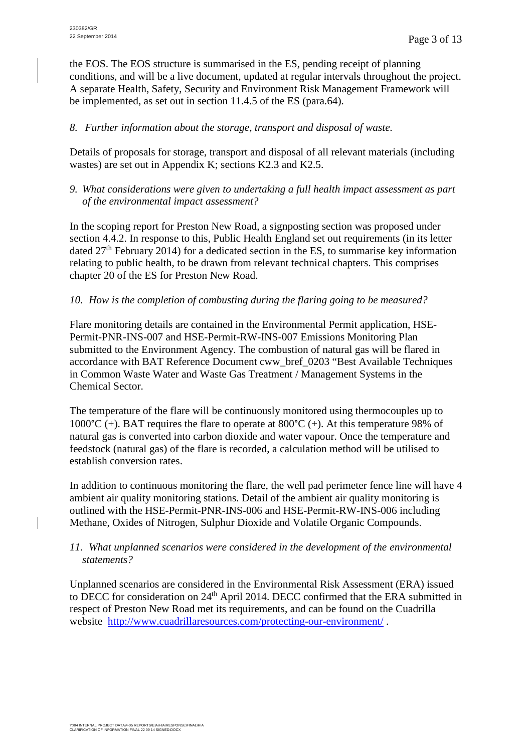the EOS. The EOS structure is summarised in the ES, pending receipt of planning conditions, and will be a live document, updated at regular intervals throughout the project. A separate Health, Safety, Security and Environment Risk Management Framework will be implemented, as set out in section 11.4.5 of the ES (para.64).

#### *8. Further information about the storage, transport and disposal of waste.*

Details of proposals for storage, transport and disposal of all relevant materials (including wastes) are set out in Appendix K; sections K2.3 and K2.5.

*9. What considerations were given to undertaking a full health impact assessment as part of the environmental impact assessment?*

In the scoping report for Preston New Road, a signposting section was proposed under section 4.4.2. In response to this, Public Health England set out requirements (in its letter dated 27<sup>th</sup> February 2014) for a dedicated section in the ES, to summarise key information relating to public health, to be drawn from relevant technical chapters. This comprises chapter 20 of the ES for Preston New Road.

## *10. How is the completion of combusting during the flaring going to be measured?*

Flare monitoring details are contained in the Environmental Permit application, HSE-Permit-PNR-INS-007 and HSE-Permit-RW-INS-007 Emissions Monitoring Plan submitted to the Environment Agency. The combustion of natural gas will be flared in accordance with BAT Reference Document cww\_bref\_0203 "Best Available Techniques in Common Waste Water and Waste Gas Treatment / Management Systems in the Chemical Sector.

The temperature of the flare will be continuously monitored using thermocouples up to 1000°C (+). BAT requires the flare to operate at 800°C (+). At this temperature 98% of natural gas is converted into carbon dioxide and water vapour. Once the temperature and feedstock (natural gas) of the flare is recorded, a calculation method will be utilised to establish conversion rates.

In addition to continuous monitoring the flare, the well pad perimeter fence line will have 4 ambient air quality monitoring stations. Detail of the ambient air quality monitoring is outlined with the HSE-Permit-PNR-INS-006 and HSE-Permit-RW-INS-006 including Methane, Oxides of Nitrogen, Sulphur Dioxide and Volatile Organic Compounds.

#### *11. What unplanned scenarios were considered in the development of the environmental statements?*

Unplanned scenarios are considered in the Environmental Risk Assessment (ERA) issued to DECC for consideration on 24<sup>th</sup> April 2014. DECC confirmed that the ERA submitted in respect of Preston New Road met its requirements, and can be found on the Cuadrilla website <http://www.cuadrillaresources.com/protecting-our-environment/> .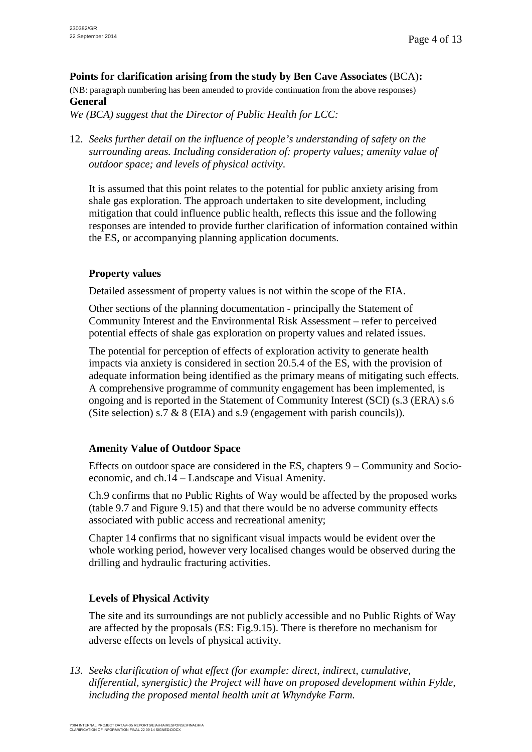**Points for clarification arising from the study by Ben Cave Associates** (BCA)**:** (NB: paragraph numbering has been amended to provide continuation from the above responses) **General**

*We (BCA) suggest that the Director of Public Health for LCC:*

12. *Seeks further detail on the influence of people's understanding of safety on the surrounding areas. Including consideration of: property values; amenity value of outdoor space; and levels of physical activity*.

It is assumed that this point relates to the potential for public anxiety arising from shale gas exploration. The approach undertaken to site development, including mitigation that could influence public health, reflects this issue and the following responses are intended to provide further clarification of information contained within the ES, or accompanying planning application documents.

#### **Property values**

Detailed assessment of property values is not within the scope of the EIA.

Other sections of the planning documentation - principally the Statement of Community Interest and the Environmental Risk Assessment – refer to perceived potential effects of shale gas exploration on property values and related issues.

The potential for perception of effects of exploration activity to generate health impacts via anxiety is considered in section 20.5.4 of the ES, with the provision of adequate information being identified as the primary means of mitigating such effects. A comprehensive programme of community engagement has been implemented, is ongoing and is reported in the Statement of Community Interest (SCI) (s.3 (ERA) s.6 (Site selection) s.7 & 8 (EIA) and s.9 (engagement with parish councils)).

## **Amenity Value of Outdoor Space**

Effects on outdoor space are considered in the ES, chapters 9 – Community and Socioeconomic, and ch.14 – Landscape and Visual Amenity.

Ch.9 confirms that no Public Rights of Way would be affected by the proposed works (table 9.7 and Figure 9.15) and that there would be no adverse community effects associated with public access and recreational amenity;

Chapter 14 confirms that no significant visual impacts would be evident over the whole working period, however very localised changes would be observed during the drilling and hydraulic fracturing activities.

## **Levels of Physical Activity**

The site and its surroundings are not publicly accessible and no Public Rights of Way are affected by the proposals (ES: Fig.9.15). There is therefore no mechanism for adverse effects on levels of physical activity.

*13. Seeks clarification of what effect (for example: direct, indirect, cumulative, differential, synergistic) the Project will have on proposed development within Fylde, including the proposed mental health unit at Whyndyke Farm.*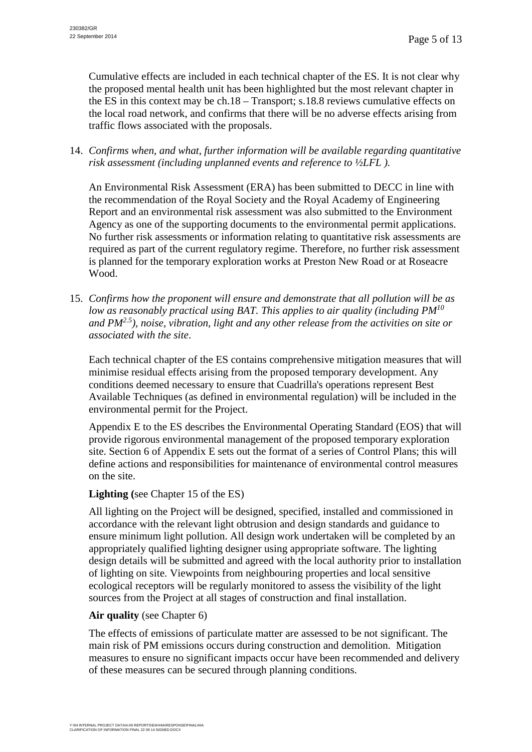Cumulative effects are included in each technical chapter of the ES. It is not clear why the proposed mental health unit has been highlighted but the most relevant chapter in the ES in this context may be ch.18 – Transport; s.18.8 reviews cumulative effects on the local road network, and confirms that there will be no adverse effects arising from traffic flows associated with the proposals.

14. *Confirms when, and what, further information will be available regarding quantitative risk assessment (including unplanned events and reference to ½LFL ).*

An Environmental Risk Assessment (ERA) has been submitted to DECC in line with the recommendation of the Royal Society and the Royal Academy of Engineering Report and an environmental risk assessment was also submitted to the Environment Agency as one of the supporting documents to the environmental permit applications. No further risk assessments or information relating to quantitative risk assessments are required as part of the current regulatory regime. Therefore, no further risk assessment is planned for the temporary exploration works at Preston New Road or at Roseacre Wood.

15. *Confirms how the proponent will ensure and demonstrate that all pollution will be as low as reasonably practical using BAT. This applies to air quality (including PM10 and PM2.5), noise, vibration, light and any other release from the activities on site or associated with the site*.

Each technical chapter of the ES contains comprehensive mitigation measures that will minimise residual effects arising from the proposed temporary development. Any conditions deemed necessary to ensure that Cuadrilla's operations represent Best Available Techniques (as defined in environmental regulation) will be included in the environmental permit for the Project.

Appendix E to the ES describes the Environmental Operating Standard (EOS) that will provide rigorous environmental management of the proposed temporary exploration site. Section 6 of Appendix E sets out the format of a series of Control Plans; this will define actions and responsibilities for maintenance of environmental control measures on the site.

## **Lighting (**see Chapter 15 of the ES)

All lighting on the Project will be designed, specified, installed and commissioned in accordance with the relevant light obtrusion and design standards and guidance to ensure minimum light pollution. All design work undertaken will be completed by an appropriately qualified lighting designer using appropriate software. The lighting design details will be submitted and agreed with the local authority prior to installation of lighting on site. Viewpoints from neighbouring properties and local sensitive ecological receptors will be regularly monitored to assess the visibility of the light sources from the Project at all stages of construction and final installation.

#### **Air quality** (see Chapter 6)

The effects of emissions of particulate matter are assessed to be not significant. The main risk of PM emissions occurs during construction and demolition. Mitigation measures to ensure no significant impacts occur have been recommended and delivery of these measures can be secured through planning conditions.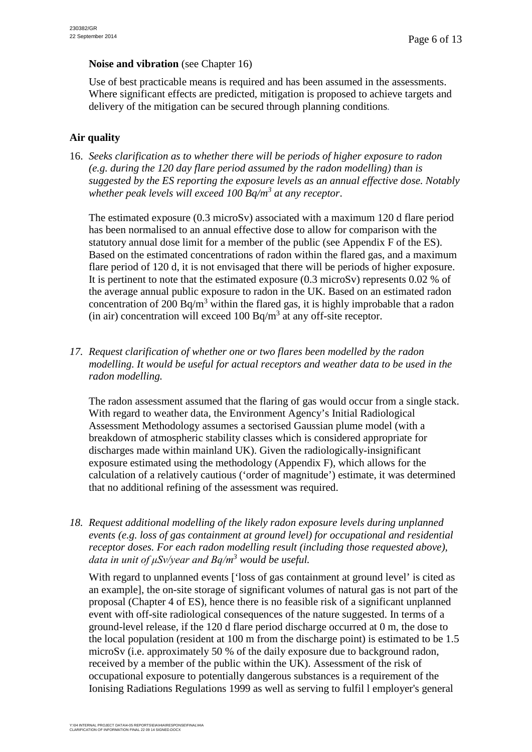## **Noise and vibration** (see Chapter 16)

Use of best practicable means is required and has been assumed in the assessments. Where significant effects are predicted, mitigation is proposed to achieve targets and delivery of the mitigation can be secured through planning conditions*.*

# **Air quality**

16. *Seeks clarification as to whether there will be periods of higher exposure to radon (e.g. during the 120 day flare period assumed by the radon modelling) than is suggested by the ES reporting the exposure levels as an annual effective dose. Notably whether peak levels will exceed 100 Bq/m3 at any receptor*.

The estimated exposure (0.3 microSv) associated with a maximum 120 d flare period has been normalised to an annual effective dose to allow for comparison with the statutory annual dose limit for a member of the public (see Appendix F of the ES). Based on the estimated concentrations of radon within the flared gas, and a maximum flare period of 120 d, it is not envisaged that there will be periods of higher exposure. It is pertinent to note that the estimated exposure (0.3 microSv) represents 0.02 % of the average annual public exposure to radon in the UK. Based on an estimated radon concentration of 200 Bq/m<sup>3</sup> within the flared gas, it is highly improbable that a radon (in air) concentration will exceed 100  $Bq/m<sup>3</sup>$  at any off-site receptor.

*17. Request clarification of whether one or two flares been modelled by the radon modelling. It would be useful for actual receptors and weather data to be used in the radon modelling.* 

The radon assessment assumed that the flaring of gas would occur from a single stack. With regard to weather data, the Environment Agency's Initial Radiological Assessment Methodology assumes a sectorised Gaussian plume model (with a breakdown of atmospheric stability classes which is considered appropriate for discharges made within mainland UK). Given the radiologically-insignificant exposure estimated using the methodology (Appendix F), which allows for the calculation of a relatively cautious ('order of magnitude') estimate, it was determined that no additional refining of the assessment was required.

*18. Request additional modelling of the likely radon exposure levels during unplanned events (e.g. loss of gas containment at ground level) for occupational and residential receptor doses. For each radon modelling result (including those requested above), data in unit of μSv/year and Bq/m<sup>3</sup> would be useful.* 

With regard to unplanned events ['loss of gas containment at ground level' is cited as an example], the on-site storage of significant volumes of natural gas is not part of the proposal (Chapter 4 of ES), hence there is no feasible risk of a significant unplanned event with off-site radiological consequences of the nature suggested. In terms of a ground-level release, if the 120 d flare period discharge occurred at 0 m, the dose to the local population (resident at 100 m from the discharge point) is estimated to be 1.5 microSv (i.e. approximately 50 % of the daily exposure due to background radon, received by a member of the public within the UK). Assessment of the risk of occupational exposure to potentially dangerous substances is a requirement of the Ionising Radiations Regulations 1999 as well as serving to fulfil l employer's general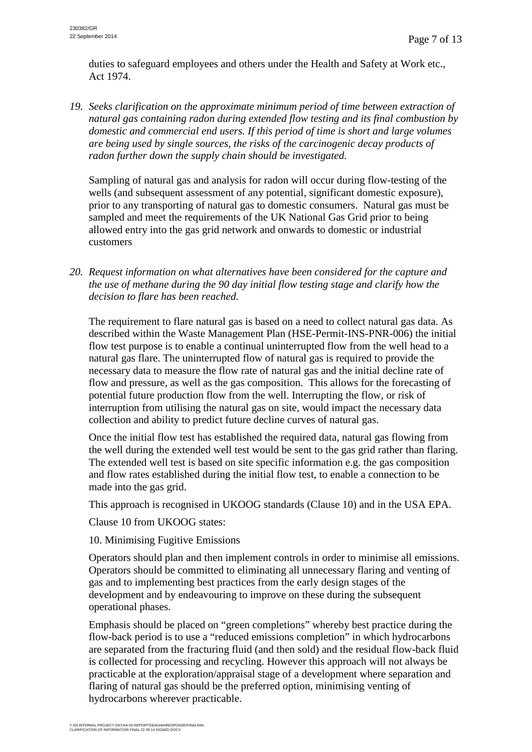duties to safeguard employees and others under the Health and Safety at Work etc., Act 1974.

*19. Seeks clarification on the approximate minimum period of time between extraction of natural gas containing radon during extended flow testing and its final combustion by domestic and commercial end users. If this period of time is short and large volumes are being used by single sources, the risks of the carcinogenic decay products of radon further down the supply chain should be investigated.*

Sampling of natural gas and analysis for radon will occur during flow-testing of the wells (and subsequent assessment of any potential, significant domestic exposure), prior to any transporting of natural gas to domestic consumers. Natural gas must be sampled and meet the requirements of the UK National Gas Grid prior to being allowed entry into the gas grid network and onwards to domestic or industrial customers

*20. Request information on what alternatives have been considered for the capture and the use of methane during the 90 day initial flow testing stage and clarify how the decision to flare has been reached.* 

The requirement to flare natural gas is based on a need to collect natural gas data. As described within the Waste Management Plan (HSE-Permit-INS-PNR-006) the initial flow test purpose is to enable a continual uninterrupted flow from the well head to a natural gas flare. The uninterrupted flow of natural gas is required to provide the necessary data to measure the flow rate of natural gas and the initial decline rate of flow and pressure, as well as the gas composition. This allows for the forecasting of potential future production flow from the well. Interrupting the flow, or risk of interruption from utilising the natural gas on site, would impact the necessary data collection and ability to predict future decline curves of natural gas.

Once the initial flow test has established the required data, natural gas flowing from the well during the extended well test would be sent to the gas grid rather than flaring. The extended well test is based on site specific information e.g. the gas composition and flow rates established during the initial flow test, to enable a connection to be made into the gas grid.

This approach is recognised in UKOOG standards (Clause 10) and in the USA EPA.

Clause 10 from UKOOG states:

10. Minimising Fugitive Emissions

Operators should plan and then implement controls in order to minimise all emissions. Operators should be committed to eliminating all unnecessary flaring and venting of gas and to implementing best practices from the early design stages of the development and by endeavouring to improve on these during the subsequent operational phases.

Emphasis should be placed on "green completions" whereby best practice during the flow-back period is to use a "reduced emissions completion" in which hydrocarbons are separated from the fracturing fluid (and then sold) and the residual flow-back fluid is collected for processing and recycling. However this approach will not always be practicable at the exploration/appraisal stage of a development where separation and flaring of natural gas should be the preferred option, minimising venting of hydrocarbons wherever practicable.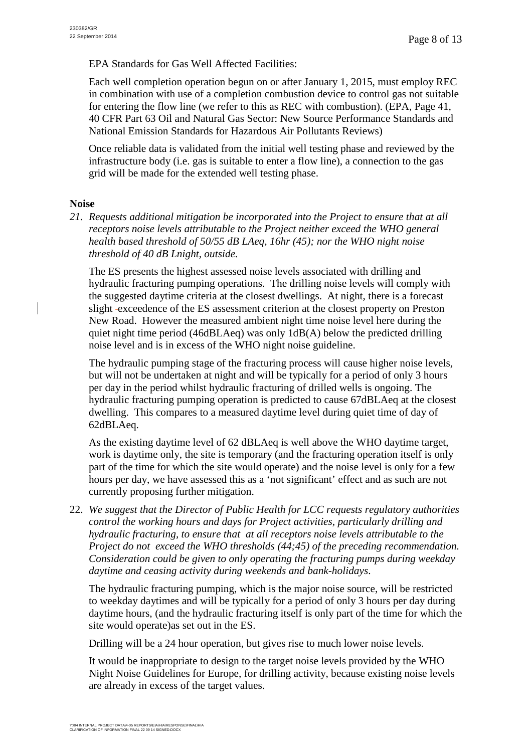EPA Standards for Gas Well Affected Facilities:

Each well completion operation begun on or after January 1, 2015, must employ REC in combination with use of a completion combustion device to control gas not suitable for entering the flow line (we refer to this as REC with combustion). (EPA, Page 41, 40 CFR Part 63 Oil and Natural Gas Sector: New Source Performance Standards and National Emission Standards for Hazardous Air Pollutants Reviews)

Once reliable data is validated from the initial well testing phase and reviewed by the infrastructure body (i.e. gas is suitable to enter a flow line), a connection to the gas grid will be made for the extended well testing phase.

## **Noise**

*21. Requests additional mitigation be incorporated into the Project to ensure that at all receptors noise levels attributable to the Project neither exceed the WHO general health based threshold of 50/55 dB LAeq, 16hr (45); nor the WHO night noise threshold of 40 dB Lnight, outside.*

The ES presents the highest assessed noise levels associated with drilling and hydraulic fracturing pumping operations. The drilling noise levels will comply with the suggested daytime criteria at the closest dwellings. At night, there is a forecast slight exceedence of the ES assessment criterion at the closest property on Preston New Road. However the measured ambient night time noise level here during the quiet night time period (46dBLAeq) was only 1dB(A) below the predicted drilling noise level and is in excess of the WHO night noise guideline.

The hydraulic pumping stage of the fracturing process will cause higher noise levels, but will not be undertaken at night and will be typically for a period of only 3 hours per day in the period whilst hydraulic fracturing of drilled wells is ongoing. The hydraulic fracturing pumping operation is predicted to cause 67dBLAeq at the closest dwelling. This compares to a measured daytime level during quiet time of day of 62dBLAeq.

As the existing daytime level of 62 dBLAeq is well above the WHO daytime target, work is daytime only, the site is temporary (and the fracturing operation itself is only part of the time for which the site would operate) and the noise level is only for a few hours per day, we have assessed this as a 'not significant' effect and as such are not currently proposing further mitigation.

22. *We suggest that the Director of Public Health for LCC requests regulatory authorities control the working hours and days for Project activities, particularly drilling and hydraulic fracturing, to ensure that at all receptors noise levels attributable to the Project do not exceed the WHO thresholds (44;45) of the preceding recommendation. Consideration could be given to only operating the fracturing pumps during weekday daytime and ceasing activity during weekends and bank-holidays*.

The hydraulic fracturing pumping, which is the major noise source, will be restricted to weekday daytimes and will be typically for a period of only 3 hours per day during daytime hours, (and the hydraulic fracturing itself is only part of the time for which the site would operate)as set out in the ES.

Drilling will be a 24 hour operation, but gives rise to much lower noise levels.

It would be inappropriate to design to the target noise levels provided by the WHO Night Noise Guidelines for Europe, for drilling activity, because existing noise levels are already in excess of the target values.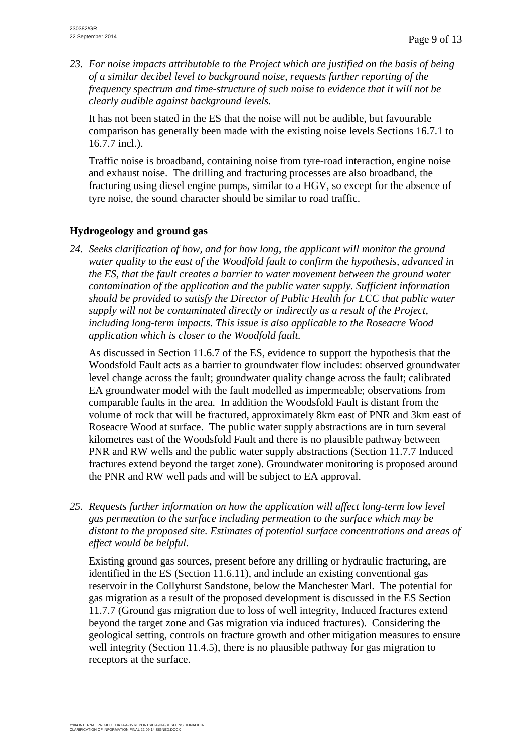*23. For noise impacts attributable to the Project which are justified on the basis of being of a similar decibel level to background noise, requests further reporting of the frequency spectrum and time-structure of such noise to evidence that it will not be clearly audible against background levels.*

It has not been stated in the ES that the noise will not be audible, but favourable comparison has generally been made with the existing noise levels Sections 16.7.1 to 16.7.7 incl.).

Traffic noise is broadband, containing noise from tyre-road interaction, engine noise and exhaust noise. The drilling and fracturing processes are also broadband, the fracturing using diesel engine pumps, similar to a HGV, so except for the absence of tyre noise, the sound character should be similar to road traffic.

## **Hydrogeology and ground gas**

*24. Seeks clarification of how, and for how long, the applicant will monitor the ground water quality to the east of the Woodfold fault to confirm the hypothesis, advanced in the ES, that the fault creates a barrier to water movement between the ground water contamination of the application and the public water supply. Sufficient information should be provided to satisfy the Director of Public Health for LCC that public water supply will not be contaminated directly or indirectly as a result of the Project, including long-term impacts. This issue is also applicable to the Roseacre Wood application which is closer to the Woodfold fault.* 

As discussed in Section 11.6.7 of the ES, evidence to support the hypothesis that the Woodsfold Fault acts as a barrier to groundwater flow includes: observed groundwater level change across the fault; groundwater quality change across the fault; calibrated EA groundwater model with the fault modelled as impermeable; observations from comparable faults in the area. In addition the Woodsfold Fault is distant from the volume of rock that will be fractured, approximately 8km east of PNR and 3km east of Roseacre Wood at surface. The public water supply abstractions are in turn several kilometres east of the Woodsfold Fault and there is no plausible pathway between PNR and RW wells and the public water supply abstractions (Section 11.7.7 Induced fractures extend beyond the target zone). Groundwater monitoring is proposed around the PNR and RW well pads and will be subject to EA approval.

*25. Requests further information on how the application will affect long-term low level gas permeation to the surface including permeation to the surface which may be distant to the proposed site. Estimates of potential surface concentrations and areas of effect would be helpful.* 

Existing ground gas sources, present before any drilling or hydraulic fracturing, are identified in the ES (Section 11.6.11), and include an existing conventional gas reservoir in the Collyhurst Sandstone, below the Manchester Marl. The potential for gas migration as a result of the proposed development is discussed in the ES Section 11.7.7 (Ground gas migration due to loss of well integrity, Induced fractures extend beyond the target zone and Gas migration via induced fractures). Considering the geological setting, controls on fracture growth and other mitigation measures to ensure well integrity (Section 11.4.5), there is no plausible pathway for gas migration to receptors at the surface.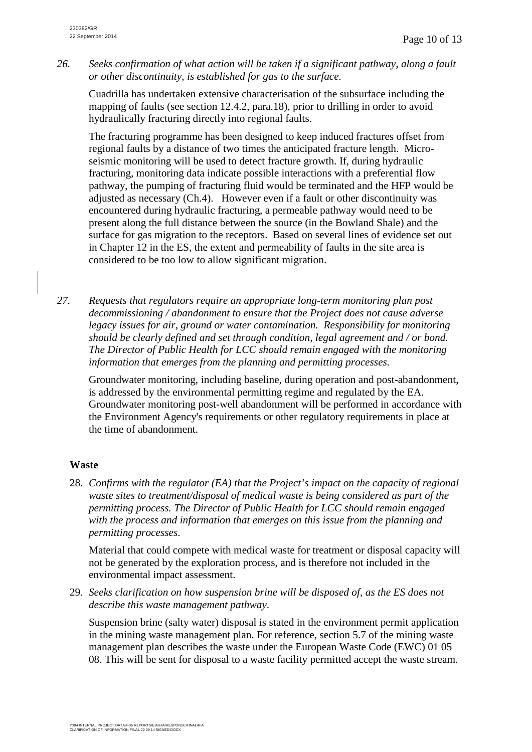*26. Seeks confirmation of what action will be taken if a significant pathway, along a fault or other discontinuity, is established for gas to the surface.*

Cuadrilla has undertaken extensive characterisation of the subsurface including the mapping of faults (see section 12.4.2, para.18), prior to drilling in order to avoid hydraulically fracturing directly into regional faults.

The fracturing programme has been designed to keep induced fractures offset from regional faults by a distance of two times the anticipated fracture length. Microseismic monitoring will be used to detect fracture growth. If, during hydraulic fracturing, monitoring data indicate possible interactions with a preferential flow pathway, the pumping of fracturing fluid would be terminated and the HFP would be adjusted as necessary (Ch.4). However even if a fault or other discontinuity was encountered during hydraulic fracturing, a permeable pathway would need to be present along the full distance between the source (in the Bowland Shale) and the surface for gas migration to the receptors. Based on several lines of evidence set out in Chapter 12 in the ES, the extent and permeability of faults in the site area is considered to be too low to allow significant migration.

*27. Requests that regulators require an appropriate long-term monitoring plan post decommissioning / abandonment to ensure that the Project does not cause adverse legacy issues for air, ground or water contamination. Responsibility for monitoring should be clearly defined and set through condition, legal agreement and / or bond. The Director of Public Health for LCC should remain engaged with the monitoring information that emerges from the planning and permitting processes.* 

Groundwater monitoring, including baseline, during operation and post-abandonment, is addressed by the environmental permitting regime and regulated by the EA. Groundwater monitoring post-well abandonment will be performed in accordance with the Environment Agency's requirements or other regulatory requirements in place at the time of abandonment.

## **Waste**

28. *Confirms with the regulator (EA) that the Project's impact on the capacity of regional waste sites to treatment/disposal of medical waste is being considered as part of the permitting process. The Director of Public Health for LCC should remain engaged with the process and information that emerges on this issue from the planning and permitting processes*.

Material that could compete with medical waste for treatment or disposal capacity will not be generated by the exploration process, and is therefore not included in the environmental impact assessment.

29. *Seeks clarification on how suspension brine will be disposed of, as the ES does not describe this waste management pathway*.

Suspension brine (salty water) disposal is stated in the environment permit application in the mining waste management plan. For reference, section 5.7 of the mining waste management plan describes the waste under the European Waste Code (EWC) 01 05 08. This will be sent for disposal to a waste facility permitted accept the waste stream.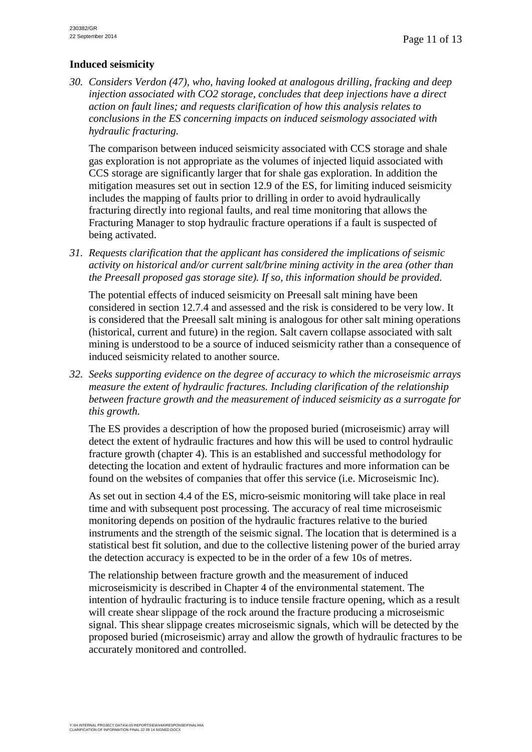# **Induced seismicity**

*30. Considers Verdon (47), who, having looked at analogous drilling, fracking and deep injection associated with CO2 storage, concludes that deep injections have a direct action on fault lines; and requests clarification of how this analysis relates to conclusions in the ES concerning impacts on induced seismology associated with hydraulic fracturing.*

The comparison between induced seismicity associated with CCS storage and shale gas exploration is not appropriate as the volumes of injected liquid associated with CCS storage are significantly larger that for shale gas exploration. In addition the mitigation measures set out in section 12.9 of the ES, for limiting induced seismicity includes the mapping of faults prior to drilling in order to avoid hydraulically fracturing directly into regional faults, and real time monitoring that allows the Fracturing Manager to stop hydraulic fracture operations if a fault is suspected of being activated.

*31. Requests clarification that the applicant has considered the implications of seismic activity on historical and/or current salt/brine mining activity in the area (other than the Preesall proposed gas storage site). If so, this information should be provided.* 

The potential effects of induced seismicity on Preesall salt mining have been considered in section 12.7.4 and assessed and the risk is considered to be very low. It is considered that the Preesall salt mining is analogous for other salt mining operations (historical, current and future) in the region. Salt cavern collapse associated with salt mining is understood to be a source of induced seismicity rather than a consequence of induced seismicity related to another source.

*32. Seeks supporting evidence on the degree of accuracy to which the microseismic arrays measure the extent of hydraulic fractures. Including clarification of the relationship between fracture growth and the measurement of induced seismicity as a surrogate for this growth.*

The ES provides a description of how the proposed buried (microseismic) array will detect the extent of hydraulic fractures and how this will be used to control hydraulic fracture growth (chapter 4). This is an established and successful methodology for detecting the location and extent of hydraulic fractures and more information can be found on the websites of companies that offer this service (i.e. Microseismic Inc).

As set out in section 4.4 of the ES, micro-seismic monitoring will take place in real time and with subsequent post processing. The accuracy of real time microseismic monitoring depends on position of the hydraulic fractures relative to the buried instruments and the strength of the seismic signal. The location that is determined is a statistical best fit solution, and due to the collective listening power of the buried array the detection accuracy is expected to be in the order of a few 10s of metres.

The relationship between fracture growth and the measurement of induced microseismicity is described in Chapter 4 of the environmental statement. The intention of hydraulic fracturing is to induce tensile fracture opening, which as a result will create shear slippage of the rock around the fracture producing a microseismic signal. This shear slippage creates microseismic signals, which will be detected by the proposed buried (microseismic) array and allow the growth of hydraulic fractures to be accurately monitored and controlled.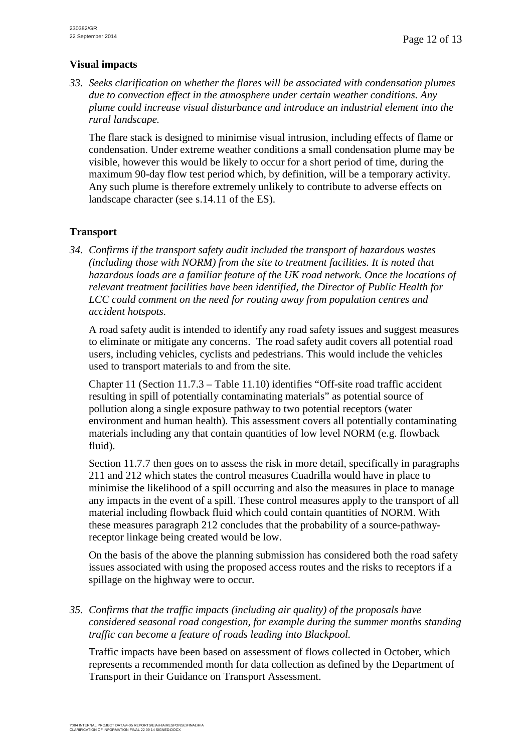# **Visual impacts**

*33. Seeks clarification on whether the flares will be associated with condensation plumes due to convection effect in the atmosphere under certain weather conditions. Any plume could increase visual disturbance and introduce an industrial element into the rural landscape.* 

The flare stack is designed to minimise visual intrusion, including effects of flame or condensation. Under extreme weather conditions a small condensation plume may be visible, however this would be likely to occur for a short period of time, during the maximum 90-day flow test period which, by definition, will be a temporary activity. Any such plume is therefore extremely unlikely to contribute to adverse effects on landscape character (see s.14.11 of the ES).

# **Transport**

*34. Confirms if the transport safety audit included the transport of hazardous wastes (including those with NORM) from the site to treatment facilities. It is noted that hazardous loads are a familiar feature of the UK road network. Once the locations of relevant treatment facilities have been identified, the Director of Public Health for LCC could comment on the need for routing away from population centres and accident hotspots.*

A road safety audit is intended to identify any road safety issues and suggest measures to eliminate or mitigate any concerns. The road safety audit covers all potential road users, including vehicles, cyclists and pedestrians. This would include the vehicles used to transport materials to and from the site.

Chapter 11 (Section 11.7.3 – Table 11.10) identifies "Off-site road traffic accident resulting in spill of potentially contaminating materials" as potential source of pollution along a single exposure pathway to two potential receptors (water environment and human health). This assessment covers all potentially contaminating materials including any that contain quantities of low level NORM (e.g. flowback fluid).

Section 11.7.7 then goes on to assess the risk in more detail, specifically in paragraphs 211 and 212 which states the control measures Cuadrilla would have in place to minimise the likelihood of a spill occurring and also the measures in place to manage any impacts in the event of a spill. These control measures apply to the transport of all material including flowback fluid which could contain quantities of NORM. With these measures paragraph 212 concludes that the probability of a source-pathwayreceptor linkage being created would be low.

On the basis of the above the planning submission has considered both the road safety issues associated with using the proposed access routes and the risks to receptors if a spillage on the highway were to occur.

*35. Confirms that the traffic impacts (including air quality) of the proposals have considered seasonal road congestion, for example during the summer months standing traffic can become a feature of roads leading into Blackpool.* 

Traffic impacts have been based on assessment of flows collected in October, which represents a recommended month for data collection as defined by the Department of Transport in their Guidance on Transport Assessment.